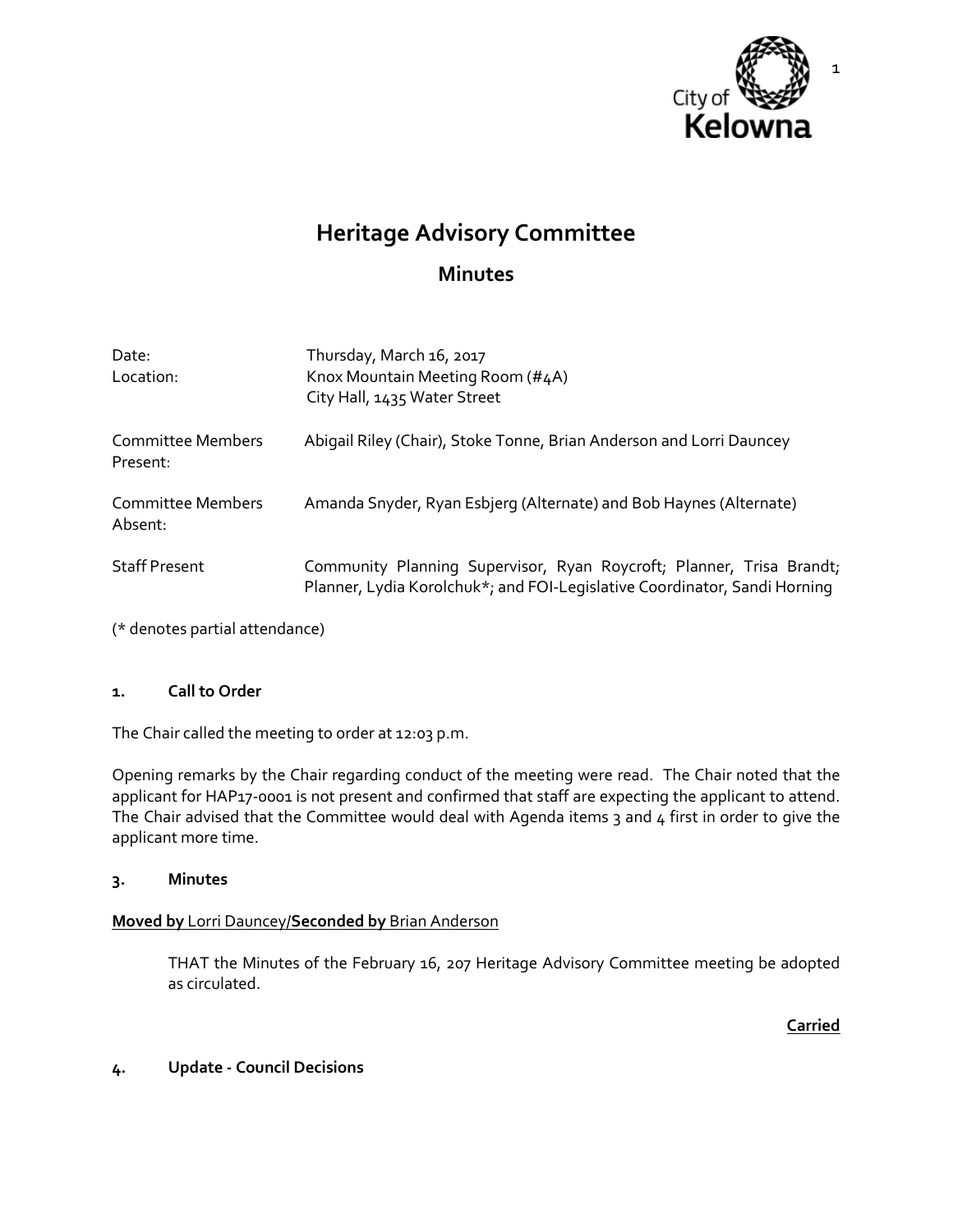

# **Heritage Advisory Committee**

## **Minutes**

| Date:<br>Location:                  | Thursday, March 16, 2017<br>Knox Mountain Meeting Room (#4A)<br>City Hall, 1435 Water Street                                                      |
|-------------------------------------|---------------------------------------------------------------------------------------------------------------------------------------------------|
| Committee Members<br>Present:       | Abigail Riley (Chair), Stoke Tonne, Brian Anderson and Lorri Dauncey                                                                              |
| <b>Committee Members</b><br>Absent: | Amanda Snyder, Ryan Esbjerg (Alternate) and Bob Haynes (Alternate)                                                                                |
| <b>Staff Present</b>                | Community Planning Supervisor, Ryan Roycroft; Planner, Trisa Brandt;<br>Planner, Lydia Korolchuk*; and FOI-Legislative Coordinator, Sandi Horning |

(\* denotes partial attendance)

#### **1. Call to Order**

The Chair called the meeting to order at 12:03 p.m.

Opening remarks by the Chair regarding conduct of the meeting were read. The Chair noted that the applicant for HAP17-0001 is not present and confirmed that staff are expecting the applicant to attend. The Chair advised that the Committee would deal with Agenda items 3 and 4 first in order to give the applicant more time.

#### **3. Minutes**

## **Moved by** Lorri Dauncey/**Seconded by** Brian Anderson

THAT the Minutes of the February 16, 207 Heritage Advisory Committee meeting be adopted as circulated.

**Carried**

#### **4. Update - Council Decisions**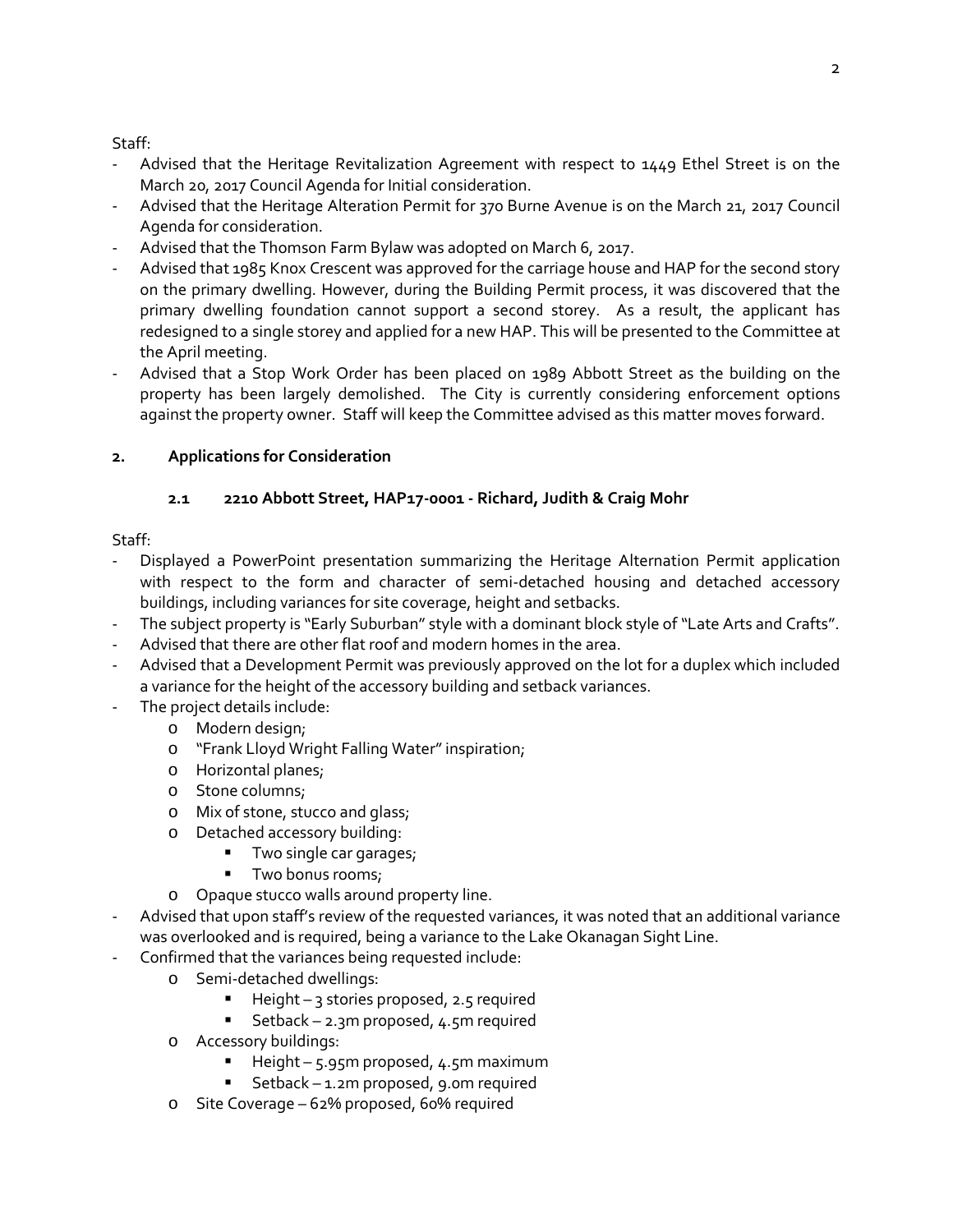## Staff:

- Advised that the Heritage Revitalization Agreement with respect to 1449 Ethel Street is on the March 20, 2017 Council Agenda for Initial consideration.
- Advised that the Heritage Alteration Permit for 370 Burne Avenue is on the March 21, 2017 Council Agenda for consideration.
- Advised that the Thomson Farm Bylaw was adopted on March 6, 2017.
- Advised that 1985 Knox Crescent was approved for the carriage house and HAP for the second story on the primary dwelling. However, during the Building Permit process, it was discovered that the primary dwelling foundation cannot support a second storey. As a result, the applicant has redesigned to a single storey and applied for a new HAP. This will be presented to the Committee at the April meeting.
- Advised that a Stop Work Order has been placed on 1989 Abbott Street as the building on the property has been largely demolished. The City is currently considering enforcement options against the property owner. Staff will keep the Committee advised as this matter moves forward.

## **2. Applications for Consideration**

## **2.1 2210 Abbott Street, HAP17-0001 - Richard, Judith & Craig Mohr**

## Staff:

- Displayed a PowerPoint presentation summarizing the Heritage Alternation Permit application with respect to the form and character of semi-detached housing and detached accessory buildings, including variances for site coverage, height and setbacks.
- The subject property is "Early Suburban" style with a dominant block style of "Late Arts and Crafts".
- Advised that there are other flat roof and modern homes in the area.
- Advised that a Development Permit was previously approved on the lot for a duplex which included a variance for the height of the accessory building and setback variances.
- The project details include:
	- o Modern design;
	- o "Frank Lloyd Wright Falling Water" inspiration;
	- o Horizontal planes;
	- o Stone columns;
	- o Mix of stone, stucco and glass;
	- o Detached accessory building:
		- Two single car garages;
		- **Two bonus rooms;**
	- o Opaque stucco walls around property line.
- Advised that upon staff's review of the requested variances, it was noted that an additional variance was overlooked and is required, being a variance to the Lake Okanagan Sight Line.
- Confirmed that the variances being requested include:
	- o Semi-detached dwellings:
		- Height 3 stories proposed, 2.5 required
		- Setback 2.3m proposed, 4.5m required
	- o Accessory buildings:
		- Height 5.95m proposed, 4.5m maximum
		- Setback 1.2m proposed, 9.0m required
	- o Site Coverage 62% proposed, 60% required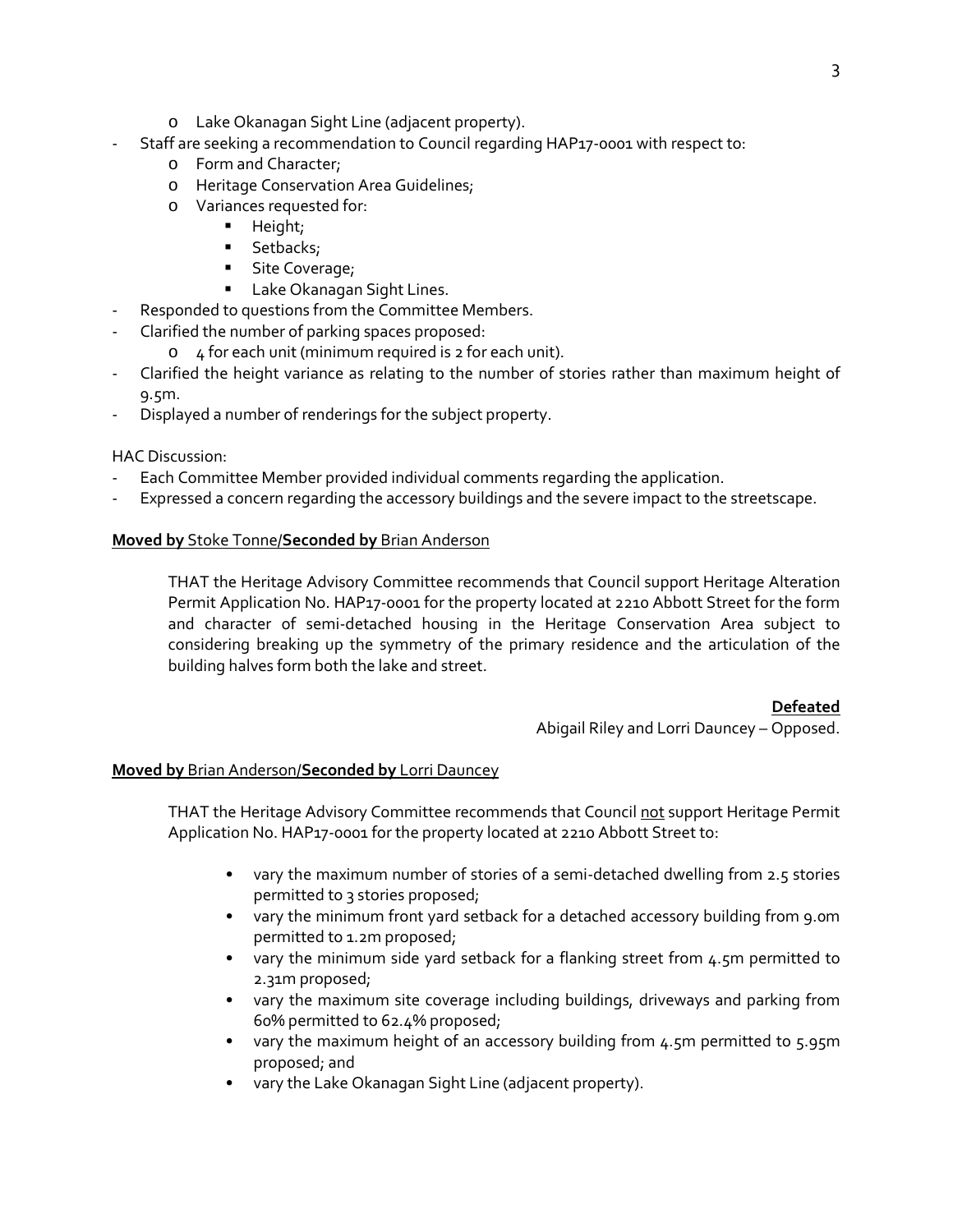- o Lake Okanagan Sight Line (adjacent property).
- Staff are seeking a recommendation to Council regarding HAP17-0001 with respect to:
	- o Form and Character;
	- o Heritage Conservation Area Guidelines;
	- o Variances requested for:
		- **Height;**
		- **Setbacks;**
		- **Site Coverage;**
		- **Lake Okanagan Sight Lines.**
- Responded to questions from the Committee Members.
- Clarified the number of parking spaces proposed:
	- o 4 for each unit (minimum required is 2 for each unit).
- Clarified the height variance as relating to the number of stories rather than maximum height of 9.5m.
- Displayed a number of renderings for the subject property.

## HAC Discussion:

- Each Committee Member provided individual comments regarding the application.
- Expressed a concern regarding the accessory buildings and the severe impact to the streetscape.

#### **Moved by** Stoke Tonne/**Seconded by** Brian Anderson

THAT the Heritage Advisory Committee recommends that Council support Heritage Alteration Permit Application No. HAP17-0001 for the property located at 2210 Abbott Street for the form and character of semi-detached housing in the Heritage Conservation Area subject to considering breaking up the symmetry of the primary residence and the articulation of the building halves form both the lake and street.

#### **Defeated**

Abigail Riley and Lorri Dauncey – Opposed.

## **Moved by** Brian Anderson/**Seconded by** Lorri Dauncey

THAT the Heritage Advisory Committee recommends that Council not support Heritage Permit Application No. HAP17-0001 for the property located at 2210 Abbott Street to:

- vary the maximum number of stories of a semi-detached dwelling from 2.5 stories permitted to 3 stories proposed;
- vary the minimum front yard setback for a detached accessory building from 9.0m permitted to 1.2m proposed;
- vary the minimum side yard setback for a flanking street from 4.5m permitted to 2.31m proposed;
- vary the maximum site coverage including buildings, driveways and parking from 60% permitted to 62.4% proposed;
- vary the maximum height of an accessory building from 4.5m permitted to 5.95m proposed; and
- vary the Lake Okanagan Sight Line (adjacent property).